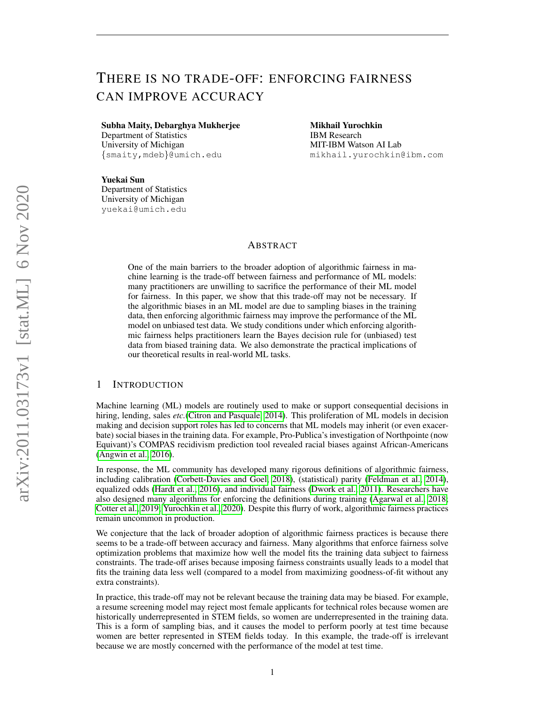# THERE IS NO TRADE-OFF: ENFORCING FAIRNESS CAN IMPROVE ACCURACY

Subha Maity, Debarghya Mukherjee

Department of Statistics University of Michigan {smaity,mdeb}@umich.edu Mikhail Yurochkin IBM Research MIT-IBM Watson AI Lab mikhail.yurochkin@ibm.com

Yuekai Sun Department of Statistics University of Michigan yuekai@umich.edu

## ABSTRACT

One of the main barriers to the broader adoption of algorithmic fairness in machine learning is the trade-off between fairness and performance of ML models: many practitioners are unwilling to sacrifice the performance of their ML model for fairness. In this paper, we show that this trade-off may not be necessary. If the algorithmic biases in an ML model are due to sampling biases in the training data, then enforcing algorithmic fairness may improve the performance of the ML model on unbiased test data. We study conditions under which enforcing algorithmic fairness helps practitioners learn the Bayes decision rule for (unbiased) test data from biased training data. We also demonstrate the practical implications of our theoretical results in real-world ML tasks.

## 1 INTRODUCTION

Machine learning (ML) models are routinely used to make or support consequential decisions in hiring, lending, sales *etc.*[\(Citron and Pasquale, 2014\)](#page-8-0). This proliferation of ML models in decision making and decision support roles has led to concerns that ML models may inherit (or even exacerbate) social biases in the training data. For example, Pro-Publica's investigation of Northpointe (now Equivant)'s COMPAS recidivism prediction tool revealed racial biases against African-Americans [\(Angwin et al., 2016\)](#page-8-1).

In response, the ML community has developed many rigorous definitions of algorithmic fairness, including calibration [\(Corbett-Davies and Goel, 2018\)](#page-8-2), (statistical) parity [\(Feldman et al., 2014\)](#page-9-0), equalized odds [\(Hardt et al., 2016\)](#page-9-1), and individual fairness [\(Dwork et al., 2011\)](#page-8-3). Researchers have also designed many algorithms for enforcing the definitions during training [\(Agarwal et al., 2018;](#page-8-4) [Cotter et al., 2019;](#page-8-5) [Yurochkin et al., 2020\)](#page-9-2). Despite this flurry of work, algorithmic fairness practices remain uncommon in production.

We conjecture that the lack of broader adoption of algorithmic fairness practices is because there seems to be a trade-off between accuracy and fairness. Many algorithms that enforce fairness solve optimization problems that maximize how well the model fits the training data subject to fairness constraints. The trade-off arises because imposing fairness constraints usually leads to a model that fits the training data less well (compared to a model from maximizing goodness-of-fit without any extra constraints).

In practice, this trade-off may not be relevant because the training data may be biased. For example, a resume screening model may reject most female applicants for technical roles because women are historically underrepresented in STEM fields, so women are underrepresented in the training data. This is a form of sampling bias, and it causes the model to perform poorly at test time because women are better represented in STEM fields today. In this example, the trade-off is irrelevant because we are mostly concerned with the performance of the model at test time.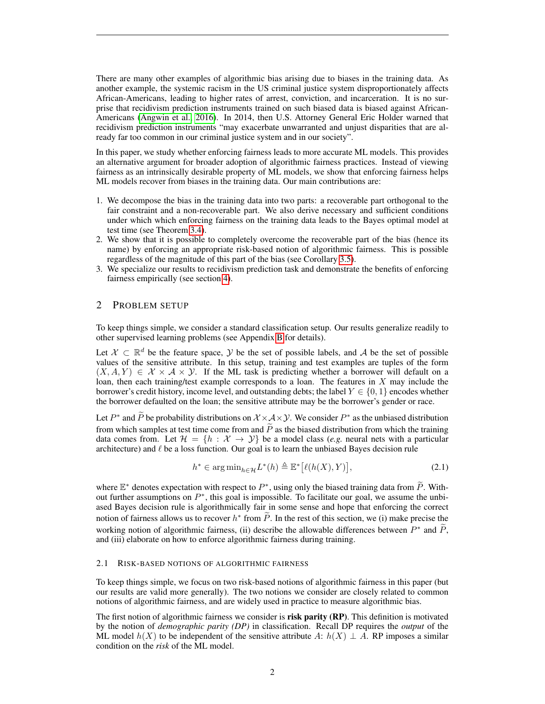There are many other examples of algorithmic bias arising due to biases in the training data. As another example, the systemic racism in the US criminal justice system disproportionately affects African-Americans, leading to higher rates of arrest, conviction, and incarceration. It is no surprise that recidivism prediction instruments trained on such biased data is biased against African-Americans [\(Angwin et al., 2016\)](#page-8-1). In 2014, then U.S. Attorney General Eric Holder warned that recidivism prediction instruments "may exacerbate unwarranted and unjust disparities that are already far too common in our criminal justice system and in our society".

In this paper, we study whether enforcing fairness leads to more accurate ML models. This provides an alternative argument for broader adoption of algorithmic fairness practices. Instead of viewing fairness as an intrinsically desirable property of ML models, we show that enforcing fairness helps ML models recover from biases in the training data. Our main contributions are:

- 1. We decompose the bias in the training data into two parts: a recoverable part orthogonal to the fair constraint and a non-recoverable part. We also derive necessary and sufficient conditions under which which enforcing fairness on the training data leads to the Bayes optimal model at test time (see Theorem [3.4\)](#page-4-0).
- 2. We show that it is possible to completely overcome the recoverable part of the bias (hence its name) by enforcing an appropriate risk-based notion of algorithmic fairness. This is possible regardless of the magnitude of this part of the bias (see Corollary [3.5\)](#page-4-1).
- 3. We specialize our results to recidivism prediction task and demonstrate the benefits of enforcing fairness empirically (see section [4\)](#page-6-0).

# 2 PROBLEM SETUP

To keep things simple, we consider a standard classification setup. Our results generalize readily to other supervised learning problems (see Appendix [B](#page-10-0) for details).

Let  $\mathcal{X} \subset \mathbb{R}^d$  be the feature space,  $\mathcal{Y}$  be the set of possible labels, and  $\mathcal{A}$  be the set of possible values of the sensitive attribute. In this setup, training and test examples are tuples of the form  $(X, A, Y) \in \mathcal{X} \times \mathcal{A} \times \mathcal{Y}$ . If the ML task is predicting whether a borrower will default on a loan, then each training/test example corresponds to a loan. The features in  $X$  may include the borrower's credit history, income level, and outstanding debts; the label  $Y \in \{0, 1\}$  encodes whether the borrower defaulted on the loan; the sensitive attribute may be the borrower's gender or race.

Let  $P^*$  and  $\tilde{P}$  be probability distributions on  $\mathcal{X} \times \mathcal{A} \times \mathcal{Y}$ . We consider  $P^*$  as the unbiased distribution from which samples at test time come from and  $\tilde{P}$  as the biased distribution from which the training data comes from. Let  $\mathcal{H} = \{h : \mathcal{X} \to \mathcal{Y}\}\$ be a model class (*e.g.* neural nets with a particular architecture) and  $\ell$  be a loss function. Our goal is to learn the unbiased Bayes decision rule

<span id="page-1-0"></span>
$$
h^* \in \arg\min_{h \in \mathcal{H}} L^*(h) \triangleq \mathbb{E}^* \big[ \ell(h(X), Y) \big],\tag{2.1}
$$

where  $\mathbb{E}^*$  denotes expectation with respect to  $P^*$ , using only the biased training data from  $\widetilde{P}$ . Without further assumptions on  $P^*$ , this goal is impossible. To facilitate our goal, we assume the unbiased Bayes decision rule is algorithmically fair in some sense and hope that enforcing the correct notion of fairness allows us to recover  $h^*$  from  $\tilde{P}$ . In the rest of this section, we (i) make precise the working notion of algorithmic fairness, (ii) describe the allowable differences between  $P^*$  and  $\tilde{P}$ , and (iii) elaborate on how to enforce algorithmic fairness during training.

#### 2.1 RISK-BASED NOTIONS OF ALGORITHMIC FAIRNESS

To keep things simple, we focus on two risk-based notions of algorithmic fairness in this paper (but our results are valid more generally). The two notions we consider are closely related to common notions of algorithmic fairness, and are widely used in practice to measure algorithmic bias.

The first notion of algorithmic fairness we consider is **risk parity (RP)**. This definition is motivated by the notion of *demographic parity (DP)* in classification. Recall DP requires the *output* of the ML model  $h(X)$  to be independent of the sensitive attribute A:  $h(X) \perp A$ . RP imposes a similar condition on the *risk* of the ML model.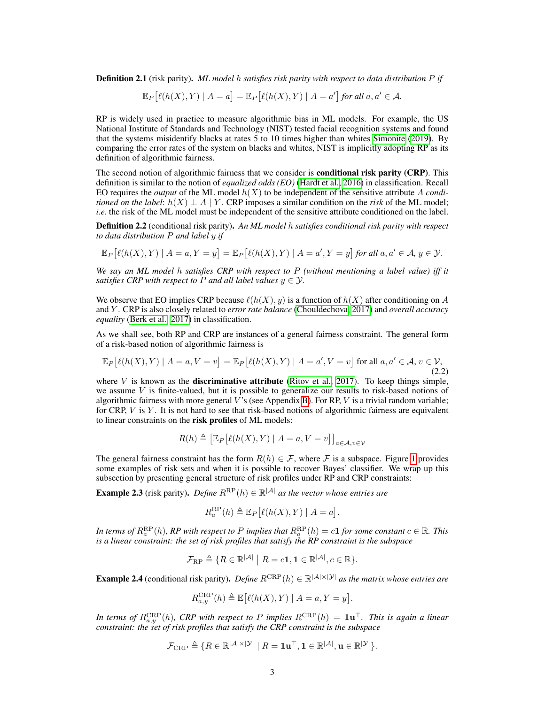Definition 2.1 (risk parity). *ML model* h *satisfies risk parity with respect to data distribution* P *if*

$$
\mathbb{E}_{P}[\ell(h(X),Y) | A = a] = \mathbb{E}_{P}[\ell(h(X),Y) | A = a'] \text{ for all } a, a' \in \mathcal{A}.
$$

RP is widely used in practice to measure algorithmic bias in ML models. For example, the US National Institute of Standards and Technology (NIST) tested facial recognition systems and found that the systems misidentify blacks at rates 5 to 10 times higher than whites [Simonite](#page-9-3) [\(2019\)](#page-9-3). By comparing the error rates of the system on blacks and whites, NIST is implicitly adopting RP as its definition of algorithmic fairness.

The second notion of algorithmic fairness that we consider is **conditional risk parity (CRP)**. This definition is similar to the notion of *equalized odds (EO)* [\(Hardt et al., 2016\)](#page-9-1) in classification. Recall EO requires the *output* of the ML model  $h(X)$  to be independent of the sensitive attribute A *conditioned on the label*:  $h(X) \perp A \mid Y$ . CRP imposes a similar condition on the *risk* of the ML model; *i.e.* the risk of the ML model must be independent of the sensitive attribute conditioned on the label.

Definition 2.2 (conditional risk parity). *An ML model* h *satisfies conditional risk parity with respect to data distribution* P *and label* y *if*

$$
\mathbb{E}_{P}[\ell(h(X),Y) \mid A=a,Y=y] = \mathbb{E}_{P}[\ell(h(X),Y) \mid A=a',Y=y] \text{ for all } a,a' \in \mathcal{A}, y \in \mathcal{Y}.
$$

*We say an ML model* h *satisfies CRP with respect to* P *(without mentioning a label value) iff it satisfies CRP with respect to P and all label values*  $y \in \mathcal{Y}$ *.* 

We observe that EO implies CRP because  $\ell(h(X), y)$  is a function of  $h(X)$  after conditioning on A and Y . CRP is also closely related to *error rate balance* [\(Chouldechova, 2017\)](#page-8-6) and *overall accuracy equality* [\(Berk et al., 2017\)](#page-8-7) in classification.

As we shall see, both RP and CRP are instances of a general fairness constraint. The general form of a risk-based notion of algorithmic fairness is

$$
\mathbb{E}_P\left[\ell(h(X),Y) \mid A=a, V=v\right] = \mathbb{E}_P\left[\ell(h(X),Y) \mid A=a', V=v\right] \text{ for all } a, a' \in \mathcal{A}, v \in \mathcal{V},\tag{2.2}
$$

where  $V$  is known as the **discriminative attribute** [\(Ritov et al., 2017\)](#page-9-4). To keep things simple, we assume  $V$  is finite-valued, but it is possible to generalize our results to risk-based notions of algorithmic fairness with more general  $V$ 's (see Appendix [B\)](#page-10-0). For RP,  $V$  is a trivial random variable; for CRP,  $V$  is  $Y$ . It is not hard to see that risk-based notions of algorithmic fairness are equivalent to linear constraints on the risk profiles of ML models:

$$
R(h) \triangleq \left[ \mathbb{E}_{P} \left[ \ell(h(X), Y) \mid A = a, V = v \right] \right]_{a \in \mathcal{A}, v \in \mathcal{V}}
$$

The general fairness constraint has the form  $R(h) \in \mathcal{F}$ , where  $\mathcal F$  is a subspace. Figure [1](#page-5-0) provides some examples of risk sets and when it is possible to recover Bayes' classifier. We wrap up this subsection by presenting general structure of risk profiles under RP and CRP constraints:

**Example 2.3** (risk parity). *Define*  $R^{\text{RP}}(h) \in \mathbb{R}^{|\mathcal{A}|}$  *as the vector whose entries are* 

$$
R_a^{\rm RP}(h) \triangleq \mathbb{E}_P\left[\ell(h(X),Y) \mid A=a\right].
$$

In terms of  $R^{\text{RP}}_a(h)$ , RP with respect to P implies that  $R^{\text{RP}}_a(h) = c$ **1** for some constant  $c \in \mathbb{R}$ . This *is a linear constraint: the set of risk profiles that satisfy the RP constraint is the subspace*

$$
\mathcal{F}_{\mathrm{RP}} \triangleq \{ R \in \mathbb{R}^{|\mathcal{A}|} \mid R = c\mathbf{1}, \mathbf{1} \in \mathbb{R}^{|\mathcal{A}|}, c \in \mathbb{R} \}.
$$

**Example 2.4** (conditional risk parity). *Define*  $R^{CRP}(h) \in \mathbb{R}^{|\mathcal{A}| \times |\mathcal{Y}|}$  *as the matrix whose entries are* 

$$
R_{a,y}^{\mathrm{CRP}}(h) \triangleq \mathbb{E}\big[\ell(h(X),Y) \mid A=a,Y=y\big].
$$

In terms of  $R_{a,y}^{\text{CRP}}(h)$ *, CRP with respect to P implies*  $R^{\text{CRP}}(h) = 1u^\top$ *. This is again a linear constraint: the set of risk profiles that satisfy the CRP constraint is the subspace*

$$
\mathcal{F}_{\mathrm{CRP}} \triangleq \{R \in \mathbb{R}^{|\mathcal{A}| \times |\mathcal{Y}|} \mid R = \mathbf{1} \mathbf{u}^{\top}, \mathbf{1} \in \mathbb{R}^{|\mathcal{A}|}, \mathbf{u} \in \mathbb{R}^{|\mathcal{Y}|}\}.
$$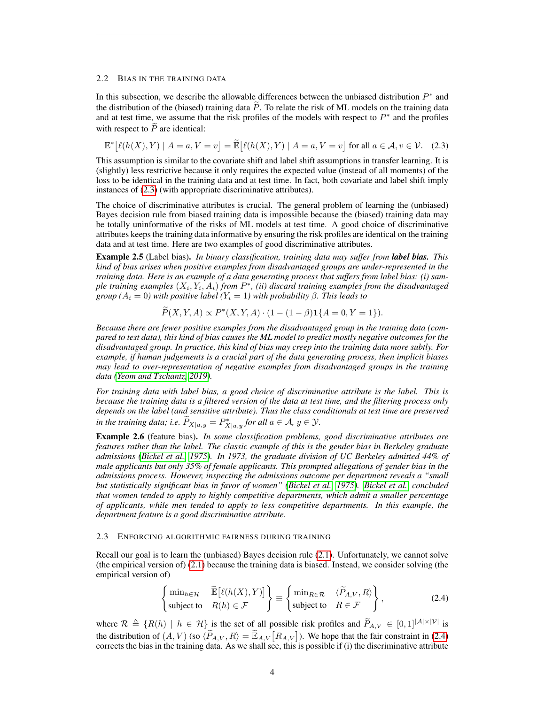## <span id="page-3-2"></span>2.2 BIAS IN THE TRAINING DATA

In this subsection, we describe the allowable differences between the unbiased distribution  $P^*$  and the distribution of the (biased) training data  $\ddot{P}$ . To relate the risk of ML models on the training data and at test time, we assume that the risk profiles of the models with respect to  $P^*$  and the profiles with respect to  $\overline{P}$  are identical:

<span id="page-3-0"></span>
$$
\mathbb{E}^* \big[ \ell(h(X), Y) \mid A = a, V = v \big] = \widetilde{\mathbb{E}} \big[ \ell(h(X), Y) \mid A = a, V = v \big] \text{ for all } a \in \mathcal{A}, v \in \mathcal{V}. \tag{2.3}
$$

This assumption is similar to the covariate shift and label shift assumptions in transfer learning. It is (slightly) less restrictive because it only requires the expected value (instead of all moments) of the loss to be identical in the training data and at test time. In fact, both covariate and label shift imply instances of [\(2.3\)](#page-3-0) (with appropriate discriminative attributes).

The choice of discriminative attributes is crucial. The general problem of learning the (unbiased) Bayes decision rule from biased training data is impossible because the (biased) training data may be totally uninformative of the risks of ML models at test time. A good choice of discriminative attributes keeps the training data informative by ensuring the risk profiles are identical on the training data and at test time. Here are two examples of good discriminative attributes.

Example 2.5 (Label bias). *In binary classification, training data may suffer from label bias. This kind of bias arises when positive examples from disadvantaged groups are under-represented in the training data. Here is an example of a data generating process that suffers from label bias: (i) sam*ple training examples  $(X_i, Y_i, A_i)$  *from*  $P^*$ , (ii) discard training examples from the disadvantaged *group* ( $A_i = 0$ ) with positive label ( $Y_i = 1$ ) with probability β. This leads to

$$
\widetilde{P}(X,Y,A) \propto P^*(X,Y,A) \cdot (1 - (1 - \beta) \mathbf{1}\{A = 0, Y = 1\}).
$$

*Because there are fewer positive examples from the disadvantaged group in the training data (compared to test data), this kind of bias causes the ML model to predict mostly negative outcomes for the disadvantaged group. In practice, this kind of bias may creep into the training data more subtly. For example, if human judgements is a crucial part of the data generating process, then implicit biases may lead to over-representation of negative examples from disadvantaged groups in the training data [\(Yeom and Tschantz, 2019\)](#page-9-5).*

*For training data with label bias, a good choice of discriminative attribute is the label. This is because the training data is a filtered version of the data at test time, and the filtering process only depends on the label (and sensitive attribute). Thus the class conditionals at test time are preserved in the training data; i.e.*  $\widetilde{P}_{X|a,y} = P_{X|a,y}^*$  for all  $a \in \mathcal{A}, y \in \mathcal{Y}$ .

Example 2.6 (feature bias). *In some classification problems, good discriminative attributes are features rather than the label. The classic example of this is the gender bias in Berkeley graduate admissions [\(Bickel et al., 1975\)](#page-8-8). In 1973, the graduate division of UC Berkeley admitted 44% of male applicants but only 35% of female applicants. This prompted allegations of gender bias in the admissions process. However, inspecting the admissions outcome per department reveals a "small but statistically significant bias in favor of women" [\(Bickel et al., 1975\)](#page-8-8). [Bickel et al.](#page-8-8) concluded that women tended to apply to highly competitive departments, which admit a smaller percentage of applicants, while men tended to apply to less competitive departments. In this example, the department feature is a good discriminative attribute.*

## 2.3 ENFORCING ALGORITHMIC FAIRNESS DURING TRAINING

Recall our goal is to learn the (unbiased) Bayes decision rule [\(2.1\)](#page-1-0). Unfortunately, we cannot solve (the empirical version of) [\(2.1\)](#page-1-0) because the training data is biased. Instead, we consider solving (the empirical version of)

<span id="page-3-1"></span>
$$
\begin{Bmatrix} \min_{h \in \mathcal{H}} & \widetilde{\mathbb{E}}\left[\ell(h(X), Y)\right] \\ \text{subject to} & R(h) \in \mathcal{F} \end{Bmatrix} \equiv \begin{Bmatrix} \min_{R \in \mathcal{R}} & \langle \widetilde{P}_{A,V}, R \rangle \\ \text{subject to} & R \in \mathcal{F} \end{Bmatrix}, \tag{2.4}
$$

where  $\mathcal{R} \triangleq \{R(h) \mid h \in \mathcal{H}\}\$ is the set of all possible risk profiles and  $\widetilde{P}_{A,V} \in [0,1]^{|A| \times |\mathcal{V}|}$  is the distribution of  $(A, V)$  (so  $\langle \widetilde{P}_{A,V}, R \rangle = \widetilde{\mathbb{E}}_{A,V} [R_{A,V}]$ ). We hope that the fair constraint in [\(2.4\)](#page-3-1) corrects the bias in the training data. As we shall see, this is possible if (i) the discriminative attribute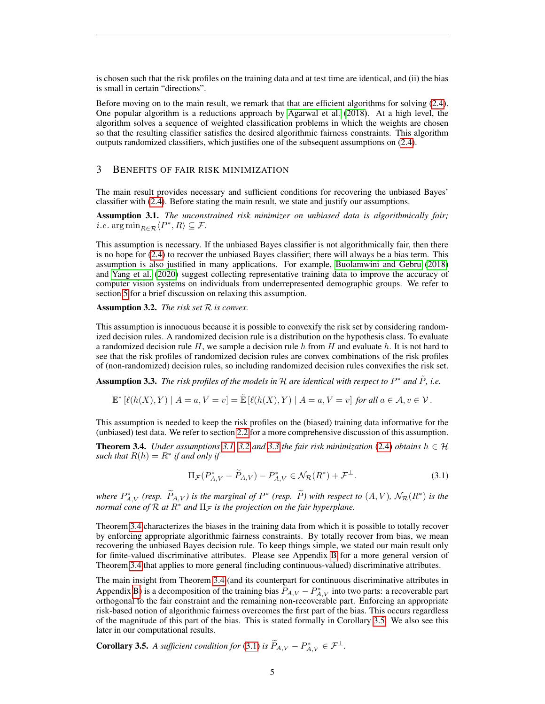is chosen such that the risk profiles on the training data and at test time are identical, and (ii) the bias is small in certain "directions".

Before moving on to the main result, we remark that that are efficient algorithms for solving [\(2.4\)](#page-3-1). One popular algorithm is a reductions approach by [Agarwal et al.](#page-8-4) [\(2018\)](#page-8-4). At a high level, the algorithm solves a sequence of weighted classification problems in which the weights are chosen so that the resulting classifier satisfies the desired algorithmic fairness constraints. This algorithm outputs randomized classifiers, which justifies one of the subsequent assumptions on [\(2.4\)](#page-3-1).

## <span id="page-4-6"></span>3 BENEFITS OF FAIR RISK MINIMIZATION

The main result provides necessary and sufficient conditions for recovering the unbiased Bayes' classifier with [\(2.4\)](#page-3-1). Before stating the main result, we state and justify our assumptions.

<span id="page-4-2"></span>Assumption 3.1. *The unconstrained risk minimizer on unbiased data is algorithmically fair; i.e.* arg  $\min_{R \in \mathcal{R}} \langle P^*, R \rangle \subseteq \mathcal{F}$ .

This assumption is necessary. If the unbiased Bayes classifier is not algorithmically fair, then there is no hope for [\(2.4\)](#page-3-1) to recover the unbiased Bayes classifier; there will always be a bias term. This assumption is also justified in many applications. For example, [Buolamwini and Gebru](#page-8-9) [\(2018\)](#page-8-9) and [Yang et al.](#page-9-6) [\(2020\)](#page-9-6) suggest collecting representative training data to improve the accuracy of computer vision systems on individuals from underrepresented demographic groups. We refer to section [5](#page-7-0) for a brief discussion on relaxing this assumption.

<span id="page-4-3"></span>Assumption 3.2. *The risk set* R *is convex.*

This assumption is innocuous because it is possible to convexify the risk set by considering randomized decision rules. A randomized decision rule is a distribution on the hypothesis class. To evaluate a randomized decision rule  $H$ , we sample a decision rule  $h$  from  $H$  and evaluate  $h$ . It is not hard to see that the risk profiles of randomized decision rules are convex combinations of the risk profiles of (non-randomized) decision rules, so including randomized decision rules convexifies the risk set.

<span id="page-4-4"></span>**Assumption 3.3.** The risk profiles of the models in H are identical with respect to  $P^*$  and  $\tilde{P}$ , i.e.

$$
\mathbb{E}^* \left[ \ell(h(X), Y) \mid A = a, V = v \right] = \tilde{\mathbb{E}} \left[ \ell(h(X), Y) \mid A = a, V = v \right] \text{ for all } a \in \mathcal{A}, v \in \mathcal{V}.
$$

This assumption is needed to keep the risk profiles on the (biased) training data informative for the (unbiased) test data. We refer to section [2.2](#page-3-2) for a more comprehensive discussion of this assumption.

<span id="page-4-0"></span>**Theorem 3.4.** *Under assumptions* [3.1,](#page-4-2) [3.2](#page-4-3) *and* [3.3](#page-4-4) *the fair risk minimization* [\(2.4\)](#page-3-1) *obtains*  $h \in H$ *such that*  $R(h) = R^*$  *if and only if* 

<span id="page-4-5"></span>
$$
\Pi_{\mathcal{F}}(P_{A,V}^* - \widetilde{P}_{A,V}) - P_{A,V}^* \in \mathcal{N}_{\mathcal{R}}(R^*) + \mathcal{F}^\perp.
$$
\n(3.1)

*where*  $P_{A,V}^*$  (resp.  $\widetilde{P}_{A,V}$ ) *is the marginal of*  $P^*$  (resp.  $\widetilde{P}$ ) with respect to  $(A, V)$ ,  $\mathcal{N}_{\mathcal{R}}(R^*)$  *is the normal cone of*  $\mathcal R$  *at*  $R^*$  *and*  $\Pi_{\mathcal F}$  *is the projection on the fair hyperplane.* 

Theorem [3.4](#page-4-0) characterizes the biases in the training data from which it is possible to totally recover by enforcing appropriate algorithmic fairness constraints. By totally recover from bias, we mean recovering the unbiased Bayes decision rule. To keep things simple, we stated our main result only for finite-valued discriminative attributes. Please see Appendix [B](#page-10-0) for a more general version of Theorem [3.4](#page-4-0) that applies to more general (including continuous-valued) discriminative attributes.

The main insight from Theorem [3.4](#page-4-0) (and its counterpart for continuous discriminative attributes in Appendix [B\)](#page-10-0) is a decomposition of the training bias  $\tilde{P}_{A,V} - P_{A,V}^*$  into two parts: a recoverable part orthogonal to the fair constraint and the remaining non-recoverable part. Enforcing an appropriate risk-based notion of algorithmic fairness overcomes the first part of the bias. This occurs regardless of the magnitude of this part of the bias. This is stated formally in Corollary [3.5.](#page-4-1) We also see this later in our computational results.

<span id="page-4-1"></span>**Corollary 3.5.** *A sufficient condition for* [\(3.1\)](#page-4-5) *is*  $\widetilde{P}_{A,V} - P_{A,V}^* \in \mathcal{F}^{\perp}$ .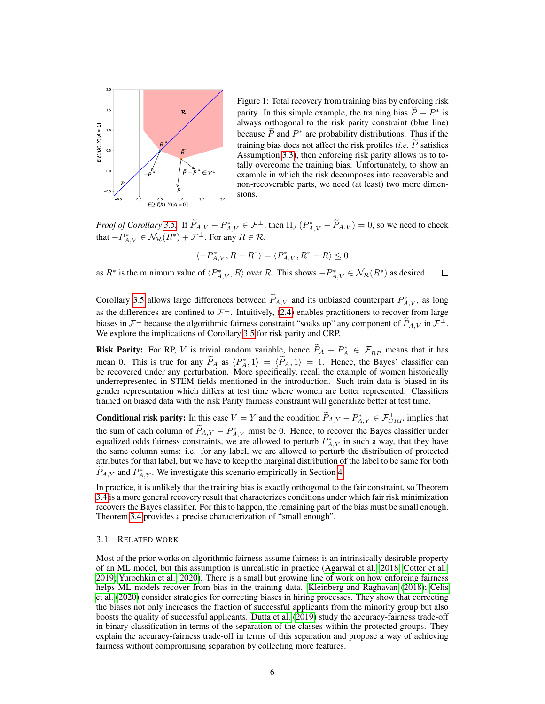

<span id="page-5-0"></span>Figure 1: Total recovery from training bias by enforcing risk parity. In this simple example, the training bias  $\tilde{P} - P^*$  is always atthonough to the side positive constraint (blue line) always orthogonal to the risk parity constraint (blue line) because  $\widetilde{P}$  and  $P^*$  are probability distributions. Thus if the training bias does not affect the risk profiles (*i.e.*  $\widetilde{P}$  satisfies Assumption [3.3\)](#page-4-4), then enforcing risk parity allows us to totally overcome the training bias. Unfortunately, to show an example in which the risk decomposes into recoverable and non-recoverable parts, we need (at least) two more dimensions.

*Proof of Corollary* [3.5.](#page-4-1) If  $\widetilde{P}_{A,V} - P_{A,V}^* \in \mathcal{F}^\perp$ , then  $\Pi_{\mathcal{F}}(P_{A,V}^* - \widetilde{P}_{A,V}) = 0$ , so we need to check that  $-P_{A,V}^* \in \mathcal{N}_{\mathcal{R}}(R^*) + \mathcal{F}^\perp$ . For any  $R \in \mathcal{R}$ ,

$$
\langle -P_{A,V}^*, R - R^* \rangle = \langle P_{A,V}^*, R^* - R \rangle \le 0
$$

as  $R^*$  is the minimum value of  $\langle P_{A,V}^*, R \rangle$  over R. This shows  $-P_{A,V}^* \in \mathcal{N}_{\mathcal{R}}(R^*)$  as desired.  $\Box$ 

Corollary [3.5](#page-4-1) allows large differences between  $\tilde{P}_{A,V}$  and its unbiased counterpart  $P_{A,V}^*$ , as long as the differences are confined to  $\mathcal{F}^{\perp}$ . Intuitively, [\(2.4\)](#page-3-1) enables practitioners to recover from large biases in  $\mathcal{F}^{\perp}$  because the algorithmic fairness constraint "soaks up" any component of  $\widetilde{P}_{A,V}$  in  $\mathcal{F}^{\perp}$ . We explore the implications of Corollary [3.5](#page-4-1) for risk parity and CRP.

**Risk Parity:** For RP, V is trivial random variable, hence  $\widetilde{P}_A - P_A^* \in \mathcal{F}_{RP}^{\perp}$  means that it has mean 0. This is true for any  $\tilde{P}_A$  as  $\langle P_A^*, 1 \rangle = \langle \tilde{P}_A, 1 \rangle = 1$ . Hence, the Bayes' classifier can be recovered under any perturbation. More specifically, recall the example of women historically underrepresented in STEM fields mentioned in the introduction. Such train data is biased in its gender representation which differs at test time where women are better represented. Classifiers trained on biased data with the risk Parity fairness constraint will generalize better at test time.

**Conditional risk parity:** In this case  $V = Y$  and the condition  $\widetilde{P}_{A,Y} - P_{A,Y}^* \in \mathcal{F}_{CRP}^{\perp}$  implies that the sum of each column of  $\tilde{P}_{A,Y} - P_{A,Y}^*$  must be 0. Hence, to recover the Bayes classifier under equalized odds fairness constraints, we are allowed to perturb  $P_{A,Y}^*$  in such a way, that they have the same column sums: i.e. for any label, we are allowed to perturb the distribution of protected attributes for that label, but we have to keep the marginal distribution of the label to be same for both  $\widetilde{P}_{A,Y}$  and  $P_{A,Y}^*$ . We investigate this scenario empirically in Section [4.](#page-6-0)

In practice, it is unlikely that the training bias is exactly orthogonal to the fair constraint, so Theorem [3.4](#page-4-0) is a more general recovery result that characterizes conditions under which fair risk minimization recovers the Bayes classifier. For this to happen, the remaining part of the bias must be small enough. Theorem [3.4](#page-4-0) provides a precise characterization of "small enough".

#### 3.1 RELATED WORK

Most of the prior works on algorithmic fairness assume fairness is an intrinsically desirable property of an ML model, but this assumption is unrealistic in practice [\(Agarwal et al., 2018;](#page-8-4) [Cotter et al.,](#page-8-5) [2019;](#page-8-5) [Yurochkin et al., 2020\)](#page-9-2). There is a small but growing line of work on how enforcing fairness helps ML models recover from bias in the training data. [Kleinberg and Raghavan](#page-9-7) [\(2018\)](#page-9-7); [Celis](#page-8-10) [et al.](#page-8-10) [\(2020\)](#page-8-10) consider strategies for correcting biases in hiring processes. They show that correcting the biases not only increases the fraction of successful applicants from the minority group but also boosts the quality of successful applicants. [Dutta et al.](#page-8-11) [\(2019\)](#page-8-11) study the accuracy-fairness trade-off in binary classification in terms of the separation of the classes within the protected groups. They explain the accuracy-fairness trade-off in terms of this separation and propose a way of achieving fairness without compromising separation by collecting more features.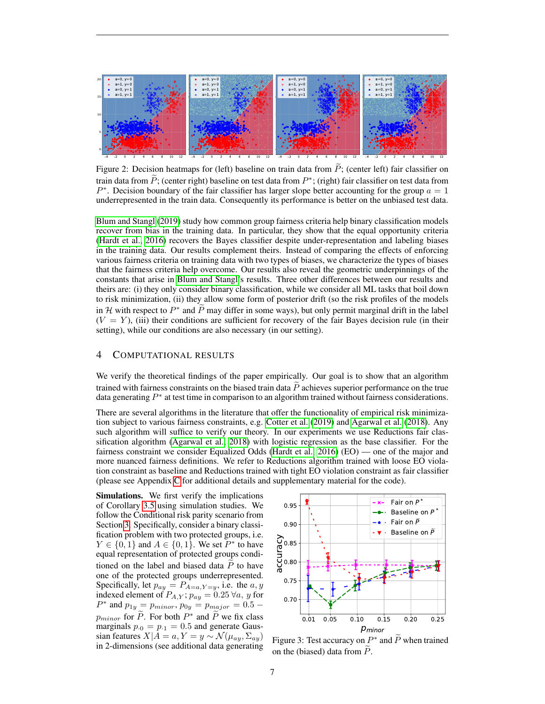

<span id="page-6-1"></span>Figure 2: Decision heatmaps for (left) baseline on train data from  $\tilde{P}$ ; (center left) fair classifier on train data from  $\tilde{P}$ ; (center right) baseline on test data from  $P^*$ ; (right) fair classifier on test data from  $P^*$ .  $P^*$ . Decision boundary of the fair classifier has larger slope better accounting for the group  $a = 1$ underrepresented in the train data. Consequently its performance is better on the unbiased test data.

[Blum and Stangl](#page-8-12) [\(2019\)](#page-8-12) study how common group fairness criteria help binary classification models recover from bias in the training data. In particular, they show that the equal opportunity criteria [\(Hardt et al., 2016\)](#page-9-1) recovers the Bayes classifier despite under-representation and labeling biases in the training data. Our results complement theirs. Instead of comparing the effects of enforcing various fairness criteria on training data with two types of biases, we characterize the types of biases that the fairness criteria help overcome. Our results also reveal the geometric underpinnings of the constants that arise in [Blum and Stangl'](#page-8-12)s results. Three other differences between our results and theirs are: (i) they only consider binary classification, while we consider all ML tasks that boil down to risk minimization, (ii) they allow some form of posterior drift (so the risk profiles of the models in H with respect to  $P^*$  and  $\tilde{P}$  may differ in some ways), but only permit marginal drift in the label  $(V = Y)$ , (iii) their conditions are sufficient for recovery of the fair Bayes decision rule (in their setting), while our conditions are also necessary (in our setting).

# <span id="page-6-0"></span>4 COMPUTATIONAL RESULTS

We verify the theoretical findings of the paper empirically. Our goal is to show that an algorithm trained with fairness constraints on the biased train data  $\vec{P}$  achieves superior performance on the true data generating  $P^*$  at test time in comparison to an algorithm trained without fairness considerations.

There are several algorithms in the literature that offer the functionality of empirical risk minimization subject to various fairness constraints, e.g. [Cotter et al.](#page-8-5) [\(2019\)](#page-8-5) and [Agarwal et al.](#page-8-4) [\(2018\)](#page-8-4). Any such algorithm will suffice to verify our theory. In our experiments we use Reductions fair classification algorithm [\(Agarwal et al., 2018\)](#page-8-4) with logistic regression as the base classifier. For the fairness constraint we consider Equalized Odds [\(Hardt et al., 2016\)](#page-9-1) (EO) — one of the major and more nuanced fairness definitions. We refer to Reductions algorithm trained with loose EO violation constraint as baseline and Reductions trained with tight EO violation constraint as fair classifier (please see Appendix [C](#page-12-0) for additional details and supplementary material for the code).

Simulations. We first verify the implications of Corollary [3.5](#page-4-1) using simulation studies. We follow the Conditional risk parity scenario from Section [3.](#page-4-6) Specifically, consider a binary classification problem with two protected groups, i.e.  $Y \in \{0, 1\}$  and  $A \in \{0, 1\}$ . We set  $P^*$  to have equal representation of protected groups conditioned on the label and biased data  $P$  to have one of the protected groups underrepresented. Specifically, let  $p_{ay} = P_{A=a, Y=y}$ , i.e. the  $a, y$ indexed element of  $P_{A,Y}$ ;  $p_{ay} = 0.25 \,\forall a, y$  for  $P^*$  and  $p_{1y} = p_{minor}$ ,  $p_{0y} = p_{major} = 0.5 - 1$  $p_{minor}$  for  $\tilde{P}$ . For both  $P^*$  and  $\tilde{P}$  we fix class marginals  $p_{0} = p_{1} = 0.5$  and generate Gaussian features  $X|A = a, Y = y \sim \mathcal{N}(\mu_{ay}, \Sigma_{ay})$ in 2-dimensions (see additional data generating



<span id="page-6-2"></span>Figure 3: Test accuracy on  $P^*$  and  $\widetilde{P}$  when trained on the (biased) data from  $P$ .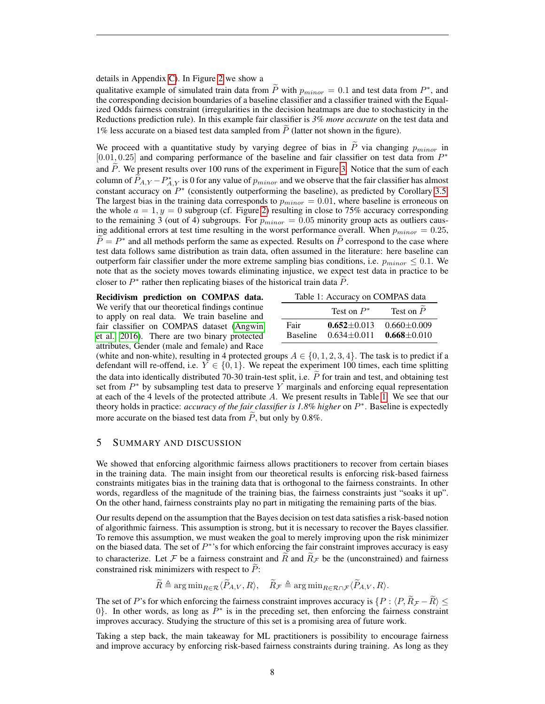## details in Appendix [C\)](#page-12-0). In Figure [2](#page-6-1) we show a

qualitative example of simulated train data from  $\tilde{P}$  with  $p_{minor} = 0.1$  and test data from  $P^*$ , and the convergenting desiring having a series of the property of the property of the property of the property of the pr the corresponding decision boundaries of a baseline classifier and a classifier trained with the Equalized Odds fairness constraint (irregularities in the decision heatmaps are due to stochasticity in the Reductions prediction rule). In this example fair classifier is *3% more accurate* on the test data and 1% less accurate on a biased test data sampled from  $P$  (latter not shown in the figure).

We proceed with a quantitative study by varying degree of bias in  $P$  via changing  $p_{minor}$  in [0.01, 0.25] and comparing performance of the baseline and fair classifier on test data from  $P^*$ and P. We present results over 100 runs of the experiment in Figure [3.](#page-6-2) Notice that the sum of each column of  $\widetilde{P}_{A,Y} - P_{A,Y}^*$  is 0 for any value of  $p_{minor}$  and we observe that the fair classifier has almost constant accuracy on  $P^*$  (consistently outperforming the baseline), as predicted by Corollary [3.5.](#page-4-1) The largest bias in the training data corresponds to  $p_{minor} = 0.01$ , where baseline is erroneous on the whole  $a = 1, y = 0$  subgroup (cf. Figure [2\)](#page-6-1) resulting in close to 75% accuracy corresponding to the remaining 3 (out of 4) subgroups. For  $p_{minor} = 0.05$  minority group acts as outliers causing additional errors at test time resulting in the worst performance overall. When  $p_{minor} = 0.25$ ,  $\widetilde{P} = P^*$  and all methods perform the same as expected. Results on  $\widetilde{P}$  correspond to the case where test data follows same distribution as train data, often assumed in the literature: here baseline can outperform fair classifier under the more extreme sampling bias conditions, i.e.  $p_{minor} \leq 0.1$ . We note that as the society moves towards eliminating injustice, we expect test data in practice to be closer to  $P^*$  rather then replicating biases of the historical train data  $\widetilde{P}$ .

Recidivism prediction on COMPAS data. We verify that our theoretical findings continue to apply on real data. We train baseline and fair classifier on COMPAS dataset [\(Angwin](#page-8-1) [et al., 2016\)](#page-8-1). There are two binary protected attributes, Gender (male and female) and Race

<span id="page-7-1"></span>

|                 | Test on $P^*$     | Test on $P$       |
|-----------------|-------------------|-------------------|
| Fair            | $0.652 + 0.013$   | $0.660 \pm 0.009$ |
| <b>Baseline</b> | $0.634 \pm 0.011$ | $0.668 \pm 0.010$ |

(white and non-white), resulting in 4 protected groups  $A \in \{0, 1, 2, 3, 4\}$ . The task is to predict if a defendant will re-offend, i.e.  $Y \in \{0, 1\}$ . We repeat the experiment 100 times, each time splitting the data into identically distributed 70-30 train-test split, i.e.  $\tilde{P}$  for train and test, and obtaining test set from  $P^*$  by subsampling test data to preserve Y marginals and enforcing equal representation at each of the 4 levels of the protected attribute A. We present results in Table [1.](#page-7-1) We see that our theory holds in practice: *accuracy of the fair classifier is 1.8% higher* on P ∗ . Baseline is expectedly more accurate on the biased test data from  $\ddot{P}$ , but only by 0.8%.

# <span id="page-7-0"></span>5 SUMMARY AND DISCUSSION

We showed that enforcing algorithmic fairness allows practitioners to recover from certain biases in the training data. The main insight from our theoretical results is enforcing risk-based fairness constraints mitigates bias in the training data that is orthogonal to the fairness constraints. In other words, regardless of the magnitude of the training bias, the fairness constraints just "soaks it up". On the other hand, fairness constraints play no part in mitigating the remaining parts of the bias.

Our results depend on the assumption that the Bayes decision on test data satisfies a risk-based notion of algorithmic fairness. This assumption is strong, but it is necessary to recover the Bayes classifier. To remove this assumption, we must weaken the goal to merely improving upon the risk minimizer on the biased data. The set of  $P^*$ 's for which enforcing the fair constraint improves accuracy is easy to characterize. Let F be a fairness constraint and  $\overline{R}$  and  $\overline{R}_{\mathcal{F}}$  be the (unconstrained) and fairness constrained risk minimizers with respect to  $P$ :

$$
\widetilde{R} \triangleq \arg\min_{R \in \mathcal{R}} \langle \widetilde{P}_{A,V}, R \rangle, \quad \widetilde{R}_{\mathcal{F}} \triangleq \arg\min_{R \in \mathcal{R} \cap \mathcal{F}} \langle \widetilde{P}_{A,V}, R \rangle.
$$

The set of P's for which enforcing the fairness constraint improves accuracy is  $\{P : \langle P, R_{\mathcal{F}} - R \rangle \leq$ 0}. In other words, as long as  $\overline{P}^*$  is in the preceding set, then enforcing the fairness constraint improves accuracy. Studying the structure of this set is a promising area of future work.

Taking a step back, the main takeaway for ML practitioners is possibility to encourage fairness and improve accuracy by enforcing risk-based fairness constraints during training. As long as they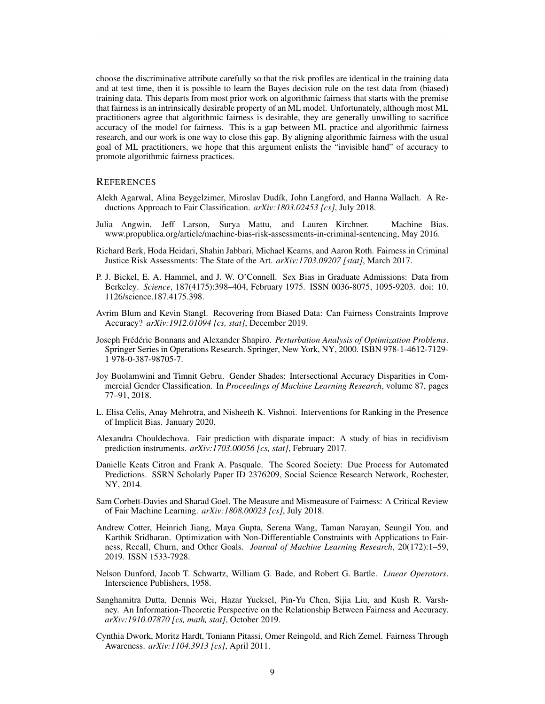choose the discriminative attribute carefully so that the risk profiles are identical in the training data and at test time, then it is possible to learn the Bayes decision rule on the test data from (biased) training data. This departs from most prior work on algorithmic fairness that starts with the premise that fairness is an intrinsically desirable property of an ML model. Unfortunately, although most ML practitioners agree that algorithmic fairness is desirable, they are generally unwilling to sacrifice accuracy of the model for fairness. This is a gap between ML practice and algorithmic fairness research, and our work is one way to close this gap. By aligning algorithmic fairness with the usual goal of ML practitioners, we hope that this argument enlists the "invisible hand" of accuracy to promote algorithmic fairness practices.

## **REFERENCES**

- <span id="page-8-4"></span>Alekh Agarwal, Alina Beygelzimer, Miroslav Dudík, John Langford, and Hanna Wallach. A Reductions Approach to Fair Classification. *arXiv:1803.02453 [cs]*, July 2018.
- <span id="page-8-1"></span>Julia Angwin, Jeff Larson, Surya Mattu, and Lauren Kirchner. Machine Bias. www.propublica.org/article/machine-bias-risk-assessments-in-criminal-sentencing, May 2016.
- <span id="page-8-7"></span>Richard Berk, Hoda Heidari, Shahin Jabbari, Michael Kearns, and Aaron Roth. Fairness in Criminal Justice Risk Assessments: The State of the Art. *arXiv:1703.09207 [stat]*, March 2017.
- <span id="page-8-8"></span>P. J. Bickel, E. A. Hammel, and J. W. O'Connell. Sex Bias in Graduate Admissions: Data from Berkeley. *Science*, 187(4175):398–404, February 1975. ISSN 0036-8075, 1095-9203. doi: 10. 1126/science.187.4175.398.
- <span id="page-8-12"></span>Avrim Blum and Kevin Stangl. Recovering from Biased Data: Can Fairness Constraints Improve Accuracy? *arXiv:1912.01094 [cs, stat]*, December 2019.
- <span id="page-8-14"></span>Joseph Frédéric Bonnans and Alexander Shapiro. *Perturbation Analysis of Optimization Problems*. Springer Series in Operations Research. Springer, New York, NY, 2000. ISBN 978-1-4612-7129- 1 978-0-387-98705-7.
- <span id="page-8-9"></span>Joy Buolamwini and Timnit Gebru. Gender Shades: Intersectional Accuracy Disparities in Commercial Gender Classification. In *Proceedings of Machine Learning Research*, volume 87, pages 77–91, 2018.
- <span id="page-8-10"></span>L. Elisa Celis, Anay Mehrotra, and Nisheeth K. Vishnoi. Interventions for Ranking in the Presence of Implicit Bias. January 2020.
- <span id="page-8-6"></span>Alexandra Chouldechova. Fair prediction with disparate impact: A study of bias in recidivism prediction instruments. *arXiv:1703.00056 [cs, stat]*, February 2017.
- <span id="page-8-0"></span>Danielle Keats Citron and Frank A. Pasquale. The Scored Society: Due Process for Automated Predictions. SSRN Scholarly Paper ID 2376209, Social Science Research Network, Rochester, NY, 2014.
- <span id="page-8-2"></span>Sam Corbett-Davies and Sharad Goel. The Measure and Mismeasure of Fairness: A Critical Review of Fair Machine Learning. *arXiv:1808.00023 [cs]*, July 2018.
- <span id="page-8-5"></span>Andrew Cotter, Heinrich Jiang, Maya Gupta, Serena Wang, Taman Narayan, Seungil You, and Karthik Sridharan. Optimization with Non-Differentiable Constraints with Applications to Fairness, Recall, Churn, and Other Goals. *Journal of Machine Learning Research*, 20(172):1–59, 2019. ISSN 1533-7928.
- <span id="page-8-13"></span>Nelson Dunford, Jacob T. Schwartz, William G. Bade, and Robert G. Bartle. *Linear Operators*. Interscience Publishers, 1958.
- <span id="page-8-11"></span>Sanghamitra Dutta, Dennis Wei, Hazar Yueksel, Pin-Yu Chen, Sijia Liu, and Kush R. Varshney. An Information-Theoretic Perspective on the Relationship Between Fairness and Accuracy. *arXiv:1910.07870 [cs, math, stat]*, October 2019.
- <span id="page-8-3"></span>Cynthia Dwork, Moritz Hardt, Toniann Pitassi, Omer Reingold, and Rich Zemel. Fairness Through Awareness. *arXiv:1104.3913 [cs]*, April 2011.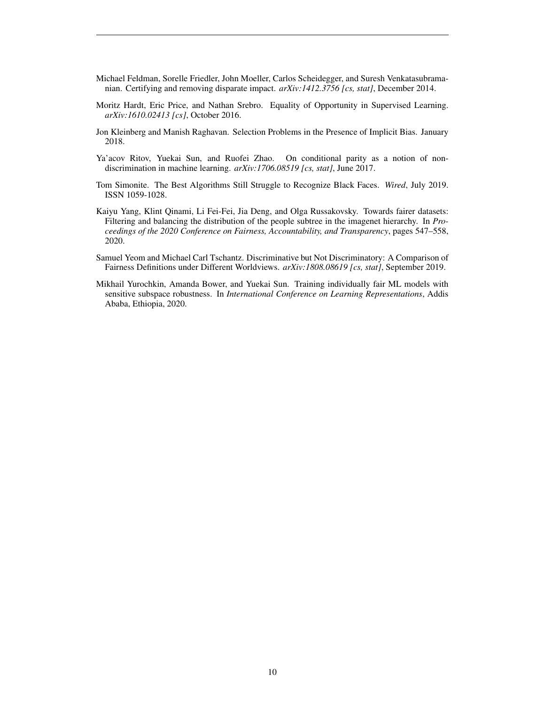- <span id="page-9-0"></span>Michael Feldman, Sorelle Friedler, John Moeller, Carlos Scheidegger, and Suresh Venkatasubramanian. Certifying and removing disparate impact. *arXiv:1412.3756 [cs, stat]*, December 2014.
- <span id="page-9-1"></span>Moritz Hardt, Eric Price, and Nathan Srebro. Equality of Opportunity in Supervised Learning. *arXiv:1610.02413 [cs]*, October 2016.
- <span id="page-9-7"></span>Jon Kleinberg and Manish Raghavan. Selection Problems in the Presence of Implicit Bias. January 2018.
- <span id="page-9-4"></span>Ya'acov Ritov, Yuekai Sun, and Ruofei Zhao. On conditional parity as a notion of nondiscrimination in machine learning. *arXiv:1706.08519 [cs, stat]*, June 2017.
- <span id="page-9-3"></span>Tom Simonite. The Best Algorithms Still Struggle to Recognize Black Faces. *Wired*, July 2019. ISSN 1059-1028.
- <span id="page-9-6"></span>Kaiyu Yang, Klint Qinami, Li Fei-Fei, Jia Deng, and Olga Russakovsky. Towards fairer datasets: Filtering and balancing the distribution of the people subtree in the imagenet hierarchy. In *Proceedings of the 2020 Conference on Fairness, Accountability, and Transparency*, pages 547–558, 2020.
- <span id="page-9-5"></span>Samuel Yeom and Michael Carl Tschantz. Discriminative but Not Discriminatory: A Comparison of Fairness Definitions under Different Worldviews. *arXiv:1808.08619 [cs, stat]*, September 2019.
- <span id="page-9-2"></span>Mikhail Yurochkin, Amanda Bower, and Yuekai Sun. Training individually fair ML models with sensitive subspace robustness. In *International Conference on Learning Representations*, Addis Ababa, Ethiopia, 2020.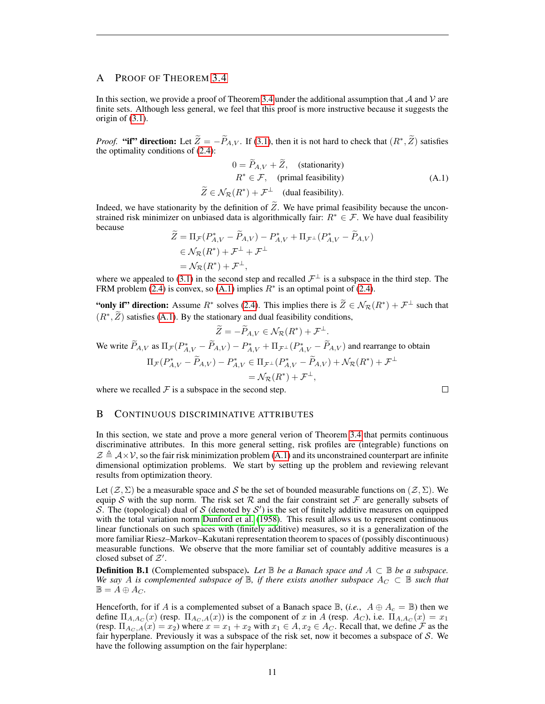# A PROOF OF THEOREM [3.4](#page-4-0)

In this section, we provide a proof of Theorem [3.4](#page-4-0) under the additional assumption that  $\mathcal A$  and  $\mathcal V$  are finite sets. Although less general, we feel that this proof is more instructive because it suggests the origin of [\(3.1\)](#page-4-5).

*Proof.* "if" direction: Let  $\widetilde{Z} = -\widetilde{P}_{A,V}$ . If [\(3.1\)](#page-4-5), then it is not hard to check that  $(R^*,\widetilde{Z})$  satisfies the optimality conditions of [\(2.4\)](#page-3-1):

<span id="page-10-1"></span>
$$
0 = \tilde{P}_{A,V} + \tilde{Z}, \quad \text{(stationarity)}
$$
\n
$$
R^* \in \mathcal{F}, \quad \text{(primal feasibility)}
$$
\n
$$
\tilde{Z} \in \mathcal{N}_{\mathcal{R}}(R^*) + \mathcal{F}^\perp \quad \text{(dual feasibility)}.
$$
\n(A.1)

 $\Box$ 

Indeed, we have stationarity by the definition of  $Z$ . We have primal feasibility because the unconstrained risk minimizer on unbiased data is algorithmically fair:  $R^* \in \mathcal{F}$ . We have dual feasibility because

$$
\widetilde{Z} = \Pi_{\mathcal{F}}(P_{A,V}^* - \widetilde{P}_{A,V}) - P_{A,V}^* + \Pi_{\mathcal{F}^\perp}(P_{A,V}^* - \widetilde{P}_{A,V}) \n\in \mathcal{N}_{\mathcal{R}}(R^*) + \mathcal{F}^\perp + \mathcal{F}^\perp \n= \mathcal{N}_{\mathcal{R}}(R^*) + \mathcal{F}^\perp,
$$

where we appealed to [\(3.1\)](#page-4-5) in the second step and recalled  $\mathcal{F}^{\perp}$  is a subspace in the third step. The FRM problem [\(2.4\)](#page-3-1) is convex, so [\(A.1\)](#page-10-1) implies  $R^*$  is an optimal point of (2.4).

"only if" direction: Assume  $R^*$  solves [\(2.4\)](#page-3-1). This implies there is  $\tilde{Z} \in \mathcal{N}_{\mathcal{R}}(R^*) + \mathcal{F}^{\perp}$  such that  $(R^*, \tilde{Z})$  satisfies [\(A.1\)](#page-10-1). By the stationary and dual feasibility conditions,

$$
\widetilde{Z} = -\widetilde{P}_{A,V} \in \mathcal{N}_{\mathcal{R}}(R^*) + \mathcal{F}^{\perp}.
$$
  
We write  $\widetilde{P}_{A,V}$  as  $\Pi_{\mathcal{F}}(P_{A,V}^* - \widetilde{P}_{A,V}) - P_{A,V}^* + \Pi_{\mathcal{F}^{\perp}}(P_{A,V}^* - \widetilde{P}_{A,V})$  and rearrange to obtain  

$$
\Pi_{\mathcal{F}}(P_{A,V}^* - \widetilde{P}_{A,V}) - P_{A,V}^* \in \Pi_{\mathcal{F}^{\perp}}(P_{A,V}^* - \widetilde{P}_{A,V}) + \mathcal{N}_{\mathcal{R}}(R^*) + \mathcal{F}^{\perp}
$$

$$
= \mathcal{N}_{\mathcal{R}}(R^*) + \mathcal{F}^{\perp},
$$

where we recalled  $\mathcal F$  is a subspace in the second step.

## <span id="page-10-0"></span>B CONTINUOUS DISCRIMINATIVE ATTRIBUTES

In this section, we state and prove a more general verion of Theorem [3.4](#page-4-0) that permits continuous discriminative attributes. In this more general setting, risk profiles are (integrable) functions on  $\mathcal{Z} \triangleq \mathcal{A} \times \mathcal{V}$ , so the fair risk minimization problem [\(A.1\)](#page-10-1) and its unconstrained counterpart are infinite dimensional optimization problems. We start by setting up the problem and reviewing relevant results from optimization theory.

Let  $(\mathcal{Z}, \Sigma)$  be a measurable space and S be the set of bounded measurable functions on  $(\mathcal{Z}, \Sigma)$ . We equip S with the sup norm. The risk set R and the fair constraint set F are generally subsets of S. The (topological) dual of S (denoted by  $S'$ ) is the set of finitely additive measures on equipped with the total variation norm [Dunford et al.](#page-8-13) [\(1958\)](#page-8-13). This result allows us to represent continuous linear functionals on such spaces with (finitely additive) measures, so it is a generalization of the more familiar Riesz–Markov–Kakutani representation theorem to spaces of (possibly discontinuous) measurable functions. We observe that the more familiar set of countably additive measures is a closed subset of  $Z'$ .

**Definition B.1** (Complemented subspace). Let  $\mathbb{B}$  be a Banach space and  $A \subset \mathbb{B}$  be a subspace. *We say* A *is complemented subspace of*  $\mathbb{B}$ *, if there exists another subspace*  $A_C \subset \mathbb{B}$  *such that*  $\mathbb{B} = A \oplus A_C.$ 

Henceforth, for if A is a complemented subset of a Banach space  $\mathbb{B}$ , (*i.e.*,  $A \oplus A_c = \mathbb{B}$ ) then we define  $\Pi_{A, A_C}(x)$  (resp.  $\Pi_{A_C, A}(x)$ ) is the component of x in A (resp.  $A_C$ ), i.e.  $\Pi_{A, A_C}(x) = x_1$ (resp.  $\Pi_{A_C, A}(x) = x_2$ ) where  $x = x_1 + x_2$  with  $x_1 \in A, x_2 \in A_C$ . Recall that, we define  $\mathcal F$  as the fair hyperplane. Previously it was a subspace of the risk set, now it becomes a subspace of  $S$ . We have the following assumption on the fair hyperplane: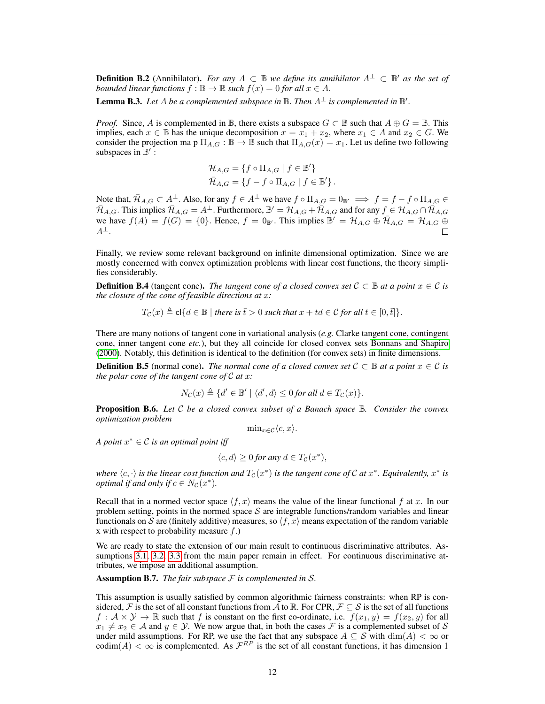**Definition B.2** (Annihilator). *For any*  $A \subset \mathbb{B}$  *we define its annihilator*  $A^{\perp} \subset \mathbb{B}'$  *as the set of bounded linear functions*  $f : \mathbb{B} \to \mathbb{R}$  *such*  $f(x) = 0$  *for all*  $x \in A$ *.* 

**Lemma B.3.** Let A be a complemented subspace in  $\mathbb B$ . Then  $A^{\perp}$  is complemented in  $\mathbb B'$ .

*Proof.* Since, A is complemented in B, there exists a subspace  $G \subset \mathbb{B}$  such that  $A \oplus G = \mathbb{B}$ . This implies, each  $x \in \mathbb{B}$  has the unique decomposition  $x = x_1 + x_2$ , where  $x_1 \in A$  and  $x_2 \in G$ . We consider the projection ma p  $\Pi_{A,G} : \mathbb{B} \to \mathbb{B}$  such that  $\Pi_{A,G}(x) = x_1$ . Let us define two following subspaces in  $\mathbb{B}'$ :

$$
\mathcal{H}_{A,G} = \{ f \circ \Pi_{A,G} \mid f \in \mathbb{B}' \}
$$
  

$$
\bar{\mathcal{H}}_{A,G} = \{ f - f \circ \Pi_{A,G} \mid f \in \mathbb{B}' \}.
$$

Note that,  $\bar{\mathcal{H}}_{A,G} \subset A^{\perp}$ . Also, for any  $f \in A^{\perp}$  we have  $f \circ \Pi_{A,G} = 0_{\mathbb{B'}} \implies f = f - f \circ \Pi_{A,G} \in A$  $\bar{\mathcal{H}}_{A,G}$ . This implies  $\bar{\mathcal{H}}_{A,G} = A^{\perp}$ . Furthermore,  $\mathbb{B}' = \mathcal{H}_{A,G} + \bar{\mathcal{H}}_{A,G}$  and for any  $f \in \mathcal{H}_{A,G} \cap \bar{\mathcal{H}}_{A,G}$ we have  $f(A) = f(G) = \{0\}$ . Hence,  $f = 0_{\mathbb{B}}$ . This implies  $\mathbb{B}' = \mathcal{H}_{A,G} \oplus \overline{\mathcal{H}}_{A,G} = \mathcal{H}_{A,G} \oplus \overline{\mathcal{H}}_{A,G}$  $A^{\perp}$ .  $\Box$ 

Finally, we review some relevant background on infinite dimensional optimization. Since we are mostly concerned with convex optimization problems with linear cost functions, the theory simplifies considerably.

**Definition B.4** (tangent cone). *The tangent cone of a closed convex set*  $C \subseteq \mathbb{B}$  *at a point*  $x \in C$  *is the closure of the cone of feasible directions at* x*:*

$$
T_{\mathcal{C}}(x) \triangleq \text{cl}\{d \in \mathbb{B} \mid \text{there is } \overline{t} > 0 \text{ such that } x + td \in \mathcal{C} \text{ for all } t \in [0, \overline{t}]\}.
$$

There are many notions of tangent cone in variational analysis (*e.g.* Clarke tangent cone, contingent cone, inner tangent cone *etc.*), but they all coincide for closed convex sets [Bonnans and Shapiro](#page-8-14) [\(2000\)](#page-8-14). Notably, this definition is identical to the definition (for convex sets) in finite dimensions.

**Definition B.5** (normal cone). *The normal cone of a closed convex set*  $C \subseteq \mathbb{B}$  *at a point*  $x \in C$  *is the polar cone of the tangent cone of* C *at* x*:*

$$
N_{\mathcal{C}}(x) \triangleq \{d' \in \mathbb{B}' \mid \langle d', d \rangle \leq 0 \text{ for all } d \in T_{\mathcal{C}}(x)\}.
$$

Proposition B.6. *Let* C *be a closed convex subset of a Banach space* B*. Consider the convex optimization problem*

$$
\min\nolimits_{x \in \mathcal{C}} \langle c, x \rangle.
$$

*A point* x <sup>∗</sup> ∈ C *is an optimal point iff*

$$
\langle c, d \rangle \ge 0 \text{ for any } d \in T_{\mathcal{C}}(x^*),
$$

where  $\langle c, \cdot \rangle$  *is the linear cost function and*  $T_{\mathcal{C}}(x^*)$  *is the tangent cone of*  $\mathcal C$  *at*  $x^*$ *. Equivalently,*  $x^*$  *is optimal if and only if*  $c \in N_{\mathcal{C}}(x^*)$ .

Recall that in a normed vector space  $\langle f, x \rangle$  means the value of the linear functional f at x. In our problem setting, points in the normed space  $S$  are integrable functions/random variables and linear functionals on S are (finitely additive) measures, so  $\langle f, x \rangle$  means expectation of the random variable x with respect to probability measure  $f$ .)

We are ready to state the extension of our main result to continuous discriminative attributes. As-sumptions [3.1,](#page-4-2) [3.2,](#page-4-3) [3.3](#page-4-4) from the main paper remain in effect. For continuous discriminative attributes, we impose an additional assumption.

<span id="page-11-0"></span>Assumption B.7. *The fair subspace* F *is complemented in* S*.*

This assumption is usually satisfied by common algorithmic fairness constraints: when RP is considered, F is the set of all constant functions from A to R. For CPR,  $\mathcal{F} \subseteq \mathcal{S}$  is the set of all functions  $f: \mathcal{A} \times \mathcal{Y} \to \mathbb{R}$  such that f is constant on the first co-ordinate, i.e.  $f(x_1, y) = f(x_2, y)$  for all  $x_1 \neq x_2 \in A$  and  $y \in Y$ . We now argue that, in both the cases F is a complemented subset of S under mild assumptions. For RP, we use the fact that any subspace  $A \subseteq S$  with  $\dim(A) < \infty$  or codim(A)  $<\infty$  is complemented. As  $\mathcal{F}^{RP}$  is the set of all constant functions, it has dimension 1